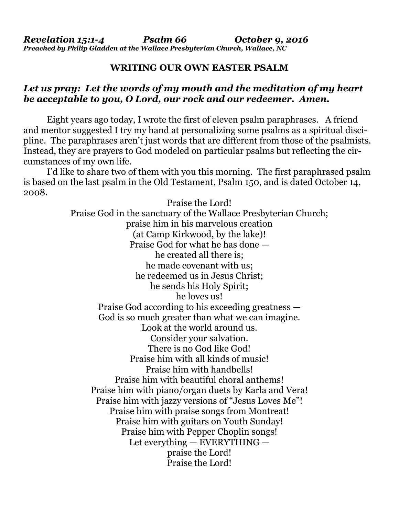## **WRITING OUR OWN EASTER PSALM**

## *Let us pray: Let the words of my mouth and the meditation of my heart be acceptable to you, O Lord, our rock and our redeemer. Amen.*

Eight years ago today, I wrote the first of eleven psalm paraphrases. A friend and mentor suggested I try my hand at personalizing some psalms as a spiritual discipline. The paraphrases aren't just words that are different from those of the psalmists. Instead, they are prayers to God modeled on particular psalms but reflecting the circumstances of my own life.

 I'd like to share two of them with you this morning. The first paraphrased psalm is based on the last psalm in the Old Testament, Psalm 150, and is dated October 14, 2008.

> Praise the Lord! Praise God in the sanctuary of the Wallace Presbyterian Church; praise him in his marvelous creation (at Camp Kirkwood, by the lake)! Praise God for what he has done he created all there is; he made covenant with us; he redeemed us in Jesus Christ; he sends his Holy Spirit; he loves us! Praise God according to his exceeding greatness — God is so much greater than what we can imagine. Look at the world around us. Consider your salvation. There is no God like God! Praise him with all kinds of music! Praise him with handbells! Praise him with beautiful choral anthems! Praise him with piano/organ duets by Karla and Vera! Praise him with jazzy versions of "Jesus Loves Me"! Praise him with praise songs from Montreat! Praise him with guitars on Youth Sunday! Praise him with Pepper Choplin songs! Let everything — EVERYTHING praise the Lord! Praise the Lord!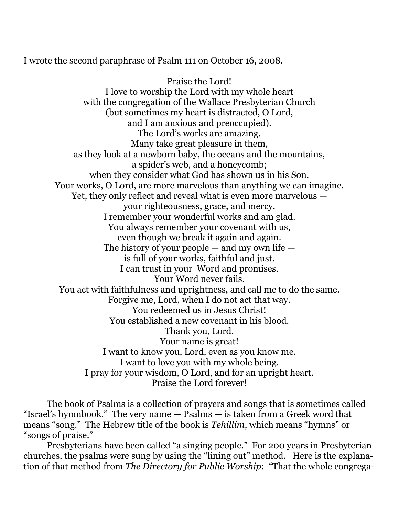I wrote the second paraphrase of Psalm 111 on October 16, 2008.

Praise the Lord! I love to worship the Lord with my whole heart with the congregation of the Wallace Presbyterian Church (but sometimes my heart is distracted, O Lord, and I am anxious and preoccupied). The Lord's works are amazing. Many take great pleasure in them, as they look at a newborn baby, the oceans and the mountains, a spider's web, and a honeycomb; when they consider what God has shown us in his Son. Your works, O Lord, are more marvelous than anything we can imagine. Yet, they only reflect and reveal what is even more marvelous your righteousness, grace, and mercy. I remember your wonderful works and am glad. You always remember your covenant with us, even though we break it again and again. The history of your people  $-$  and my own life  $$ is full of your works, faithful and just. I can trust in your Word and promises. Your Word never fails. You act with faithfulness and uprightness, and call me to do the same. Forgive me, Lord, when I do not act that way. You redeemed us in Jesus Christ! You established a new covenant in his blood. Thank you, Lord. Your name is great! I want to know you, Lord, even as you know me. I want to love you with my whole being. I pray for your wisdom, O Lord, and for an upright heart. Praise the Lord forever!

 The book of Psalms is a collection of prayers and songs that is sometimes called "Israel's hymnbook." The very name — Psalms — is taken from a Greek word that means "song." The Hebrew title of the book is *Tehillim*, which means "hymns" or "songs of praise."

 Presbyterians have been called "a singing people." For 200 years in Presbyterian churches, the psalms were sung by using the "lining out" method. Here is the explanation of that method from *The Directory for Public Worship*: "That the whole congrega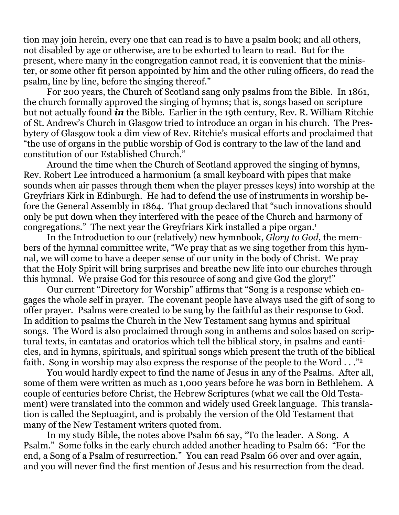tion may join herein, every one that can read is to have a psalm book; and all others, not disabled by age or otherwise, are to be exhorted to learn to read. But for the present, where many in the congregation cannot read, it is convenient that the minister, or some other fit person appointed by him and the other ruling officers, do read the psalm, line by line, before the singing thereof."

 For 200 years, the Church of Scotland sang only psalms from the Bible. In 1861, the church formally approved the singing of hymns; that is, songs based on scripture but not actually found *in* the Bible. Earlier in the 19th century, Rev. R. William Ritchie of St. Andrew's Church in Glasgow tried to introduce an organ in his church. The Presbytery of Glasgow took a dim view of Rev. Ritchie's musical efforts and proclaimed that "the use of organs in the public worship of God is contrary to the law of the land and constitution of our Established Church."

 Around the time when the Church of Scotland approved the singing of hymns, Rev. Robert Lee introduced a harmonium (a small keyboard with pipes that make sounds when air passes through them when the player presses keys) into worship at the Greyfriars Kirk in Edinburgh. He had to defend the use of instruments in worship before the General Assembly in 1864. That group declared that "such innovations should only be put down when they interfered with the peace of the Church and harmony of congregations." The next year the Greyfriars Kirk installed a pipe organ.1

 In the Introduction to our (relatively) new hymnbook, *Glory to God*, the members of the hymnal committee write, "We pray that as we sing together from this hymnal, we will come to have a deeper sense of our unity in the body of Christ. We pray that the Holy Spirit will bring surprises and breathe new life into our churches through this hymnal. We praise God for this resource of song and give God the glory!"

 Our current "Directory for Worship" affirms that "Song is a response which engages the whole self in prayer. The covenant people have always used the gift of song to offer prayer. Psalms were created to be sung by the faithful as their response to God. In addition to psalms the Church in the New Testament sang hymns and spiritual songs. The Word is also proclaimed through song in anthems and solos based on scriptural texts, in cantatas and oratorios which tell the biblical story, in psalms and canticles, and in hymns, spirituals, and spiritual songs which present the truth of the biblical faith. Song in worship may also express the response of the people to the Word . . . "2"

 You would hardly expect to find the name of Jesus in any of the Psalms. After all, some of them were written as much as 1,000 years before he was born in Bethlehem. A couple of centuries before Christ, the Hebrew Scriptures (what we call the Old Testament) were translated into the common and widely used Greek language. This translation is called the Septuagint, and is probably the version of the Old Testament that many of the New Testament writers quoted from.

 In my study Bible, the notes above Psalm 66 say, "To the leader. A Song. A Psalm." Some folks in the early church added another heading to Psalm 66: "For the end, a Song of a Psalm of resurrection." You can read Psalm 66 over and over again, and you will never find the first mention of Jesus and his resurrection from the dead.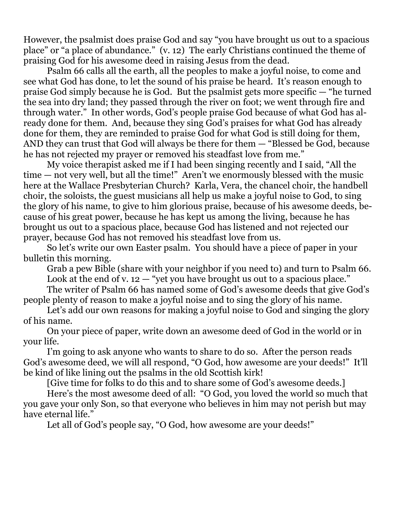However, the psalmist does praise God and say "you have brought us out to a spacious place" or "a place of abundance." (v. 12) The early Christians continued the theme of praising God for his awesome deed in raising Jesus from the dead.

 Psalm 66 calls all the earth, all the peoples to make a joyful noise, to come and see what God has done, to let the sound of his praise be heard. It's reason enough to praise God simply because he is God. But the psalmist gets more specific — "he turned the sea into dry land; they passed through the river on foot; we went through fire and through water." In other words, God's people praise God because of what God has already done for them. And, because they sing God's praises for what God has already done for them, they are reminded to praise God for what God is still doing for them, AND they can trust that God will always be there for them — "Blessed be God, because he has not rejected my prayer or removed his steadfast love from me."

 My voice therapist asked me if I had been singing recently and I said, "All the time — not very well, but all the time!" Aren't we enormously blessed with the music here at the Wallace Presbyterian Church? Karla, Vera, the chancel choir, the handbell choir, the soloists, the guest musicians all help us make a joyful noise to God, to sing the glory of his name, to give to him glorious praise, because of his awesome deeds, because of his great power, because he has kept us among the living, because he has brought us out to a spacious place, because God has listened and not rejected our prayer, because God has not removed his steadfast love from us.

 So let's write our own Easter psalm. You should have a piece of paper in your bulletin this morning.

 Grab a pew Bible (share with your neighbor if you need to) and turn to Psalm 66. Look at the end of v.  $12 -$  "yet you have brought us out to a spacious place."

 The writer of Psalm 66 has named some of God's awesome deeds that give God's people plenty of reason to make a joyful noise and to sing the glory of his name.

 Let's add our own reasons for making a joyful noise to God and singing the glory of his name.

 On your piece of paper, write down an awesome deed of God in the world or in your life.

 I'm going to ask anyone who wants to share to do so. After the person reads God's awesome deed, we will all respond, "O God, how awesome are your deeds!" It'll be kind of like lining out the psalms in the old Scottish kirk!

[Give time for folks to do this and to share some of God's awesome deeds.]

 Here's the most awesome deed of all: "O God, you loved the world so much that you gave your only Son, so that everyone who believes in him may not perish but may have eternal life."

Let all of God's people say, "O God, how awesome are your deeds!"